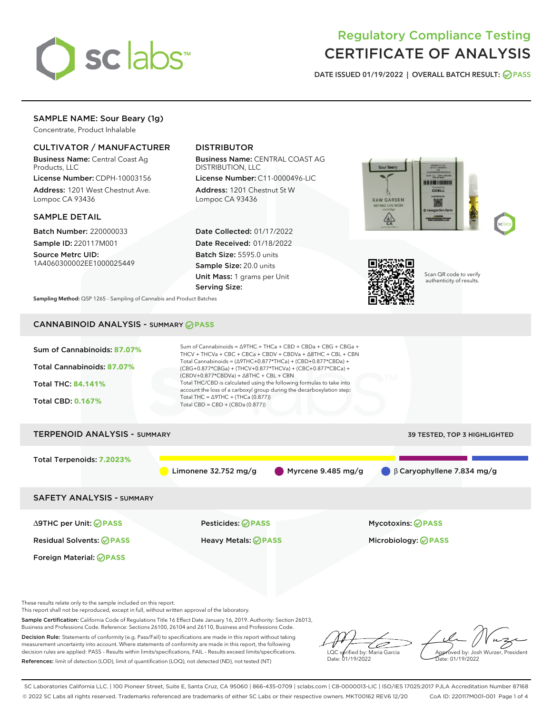

# Regulatory Compliance Testing CERTIFICATE OF ANALYSIS

DATE ISSUED 01/19/2022 | OVERALL BATCH RESULT: @ PASS

# SAMPLE NAME: Sour Beary (1g)

Concentrate, Product Inhalable

# CULTIVATOR / MANUFACTURER

Business Name: Central Coast Ag Products, LLC

License Number: CDPH-10003156 Address: 1201 West Chestnut Ave. Lompoc CA 93436

## SAMPLE DETAIL

Batch Number: 220000033 Sample ID: 220117M001

Source Metrc UID: 1A4060300002EE1000025449

# DISTRIBUTOR

Business Name: CENTRAL COAST AG DISTRIBUTION, LLC

License Number: C11-0000496-LIC Address: 1201 Chestnut St W Lompoc CA 93436

Date Collected: 01/17/2022 Date Received: 01/18/2022 Batch Size: 5595.0 units Sample Size: 20.0 units Unit Mass: 1 grams per Unit Serving Size:





Scan QR code to verify authenticity of results.

Sampling Method: QSP 1265 - Sampling of Cannabis and Product Batches

# CANNABINOID ANALYSIS - SUMMARY **PASS**



This report shall not be reproduced, except in full, without written approval of the laboratory.

Sample Certification: California Code of Regulations Title 16 Effect Date January 16, 2019. Authority: Section 26013,

Business and Professions Code. Reference: Sections 26100, 26104 and 26110, Business and Professions Code. Decision Rule: Statements of conformity (e.g. Pass/Fail) to specifications are made in this report without taking measurement uncertainty into account. Where statements of conformity are made in this report, the following decision rules are applied: PASS – Results within limits/specifications, FAIL – Results exceed limits/specifications.

References: limit of detection (LOD), limit of quantification (LOQ), not detected (ND), not tested (NT)

D LQC verified by: Maria Garcia Date: 01/19/2022

Approved by: Josh Wurzer, President ate: 01/19/2022

SC Laboratories California LLC. | 100 Pioneer Street, Suite E, Santa Cruz, CA 95060 | 866-435-0709 | sclabs.com | C8-0000013-LIC | ISO/IES 17025:2017 PJLA Accreditation Number 87168 © 2022 SC Labs all rights reserved. Trademarks referenced are trademarks of either SC Labs or their respective owners. MKT00162 REV6 12/20 CoA ID: 220117M001-001 Page 1 of 4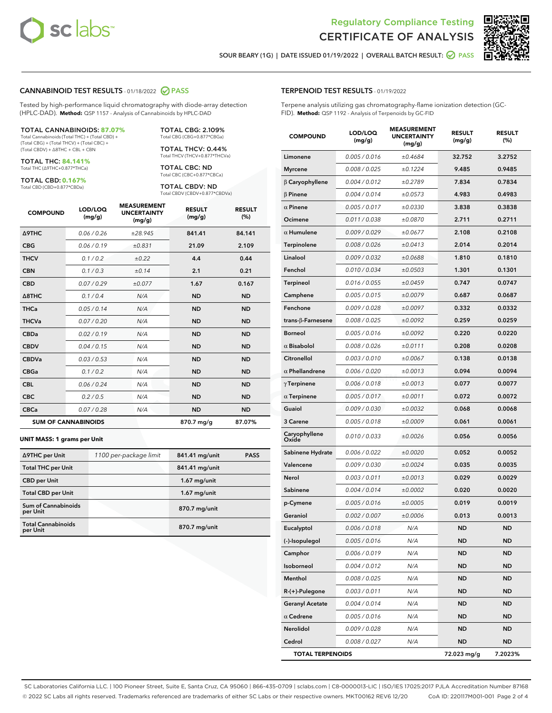



SOUR BEARY (1G) | DATE ISSUED 01/19/2022 | OVERALL BATCH RESULT: @ PASS

## CANNABINOID TEST RESULTS - 01/18/2022 2 PASS

Tested by high-performance liquid chromatography with diode-array detection (HPLC-DAD). **Method:** QSP 1157 - Analysis of Cannabinoids by HPLC-DAD

#### TOTAL CANNABINOIDS: **87.07%**

Total Cannabinoids (Total THC) + (Total CBD) + (Total CBG) + (Total THCV) + (Total CBC) + (Total CBDV) + ∆8THC + CBL + CBN

TOTAL THC: **84.141%** Total THC (∆9THC+0.877\*THCa)

TOTAL CBD: **0.167%**

Total CBD (CBD+0.877\*CBDa)

TOTAL CBG: 2.109% Total CBG (CBG+0.877\*CBGa)

TOTAL THCV: 0.44% Total THCV (THCV+0.877\*THCVa)

TOTAL CBC: ND Total CBC (CBC+0.877\*CBCa)

TOTAL CBDV: ND Total CBDV (CBDV+0.877\*CBDVa)

| <b>COMPOUND</b>            | LOD/LOQ<br>(mg/g) | <b>MEASUREMENT</b><br><b>UNCERTAINTY</b><br>(mg/g) | <b>RESULT</b><br>(mg/g) | <b>RESULT</b><br>(%) |
|----------------------------|-------------------|----------------------------------------------------|-------------------------|----------------------|
| <b>A9THC</b>               | 0.06 / 0.26       | ±28.945                                            | 841.41                  | 84.141               |
| <b>CBG</b>                 | 0.06/0.19         | ±0.831                                             | 21.09                   | 2.109                |
| <b>THCV</b>                | 0.1 / 0.2         | ±0.22                                              | 4.4                     | 0.44                 |
| <b>CBN</b>                 | 0.1 / 0.3         | ±0.14                                              | 2.1                     | 0.21                 |
| <b>CBD</b>                 | 0.07/0.29         | ±0.077                                             | 1.67                    | 0.167                |
| $\triangle$ 8THC           | 0.1 / 0.4         | N/A                                                | <b>ND</b>               | <b>ND</b>            |
| <b>THCa</b>                | 0.05/0.14         | N/A                                                | <b>ND</b>               | <b>ND</b>            |
| <b>THCVa</b>               | 0.07/0.20         | N/A                                                | <b>ND</b>               | <b>ND</b>            |
| <b>CBDa</b>                | 0.02/0.19         | N/A                                                | <b>ND</b>               | <b>ND</b>            |
| <b>CBDV</b>                | 0.04/0.15         | N/A                                                | <b>ND</b>               | <b>ND</b>            |
| <b>CBDVa</b>               | 0.03/0.53         | N/A                                                | <b>ND</b>               | <b>ND</b>            |
| <b>CBGa</b>                | 0.1/0.2           | N/A                                                | <b>ND</b>               | <b>ND</b>            |
| <b>CBL</b>                 | 0.06 / 0.24       | N/A                                                | <b>ND</b>               | <b>ND</b>            |
| <b>CBC</b>                 | 0.2 / 0.5         | N/A                                                | <b>ND</b>               | <b>ND</b>            |
| <b>CBCa</b>                | 0.07/0.28         | N/A                                                | <b>ND</b>               | <b>ND</b>            |
| <b>SUM OF CANNABINOIDS</b> |                   |                                                    | 870.7 mg/g              | 87.07%               |

#### **UNIT MASS: 1 grams per Unit**

| ∆9THC per Unit                         | 1100 per-package limit | 841.41 mg/unit | <b>PASS</b> |
|----------------------------------------|------------------------|----------------|-------------|
| <b>Total THC per Unit</b>              |                        | 841.41 mg/unit |             |
| <b>CBD</b> per Unit                    |                        | $1.67$ mg/unit |             |
| <b>Total CBD per Unit</b>              |                        | $1.67$ mg/unit |             |
| <b>Sum of Cannabinoids</b><br>per Unit |                        | 870.7 mg/unit  |             |
| <b>Total Cannabinoids</b><br>per Unit  |                        | 870.7 mg/unit  |             |

| <b>COMPOUND</b>           | LOD/LOQ<br>(mg/g) | <b>MEASUREMENT</b><br><b>UNCERTAINTY</b><br>(mg/g) | <b>RESULT</b><br>(mg/g) | <b>RESULT</b><br>$(\%)$ |
|---------------------------|-------------------|----------------------------------------------------|-------------------------|-------------------------|
| Limonene                  | 0.005 / 0.016     | ±0.4684                                            | 32.752                  | 3.2752                  |
| <b>Myrcene</b>            | 0.008 / 0.025     | ±0.1224                                            | 9.485                   | 0.9485                  |
| $\beta$ Caryophyllene     | 0.004 / 0.012     | ±0.2789                                            | 7.834                   | 0.7834                  |
| $\beta$ Pinene            | 0.004 / 0.014     | ±0.0573                                            | 4.983                   | 0.4983                  |
| $\alpha$ Pinene           | 0.005 / 0.017     | ±0.0330                                            | 3.838                   | 0.3838                  |
| Ocimene                   | 0.011 / 0.038     | ±0.0870                                            | 2.711                   | 0.2711                  |
| $\alpha$ Humulene         | 0.009 / 0.029     | ±0.0677                                            | 2.108                   | 0.2108                  |
| Terpinolene               | 0.008 / 0.026     | ±0.0413                                            | 2.014                   | 0.2014                  |
| Linalool                  | 0.009 / 0.032     | ±0.0688                                            | 1.810                   | 0.1810                  |
| Fenchol                   | 0.010 / 0.034     | ±0.0503                                            | 1.301                   | 0.1301                  |
| Terpineol                 | 0.016 / 0.055     | ±0.0459                                            | 0.747                   | 0.0747                  |
| Camphene                  | 0.005 / 0.015     | ±0.0079                                            | 0.687                   | 0.0687                  |
| Fenchone                  | 0.009 / 0.028     | ±0.0097                                            | 0.332                   | 0.0332                  |
| trans- $\beta$ -Farnesene | 0.008 / 0.025     | ±0.0092                                            | 0.259                   | 0.0259                  |
| <b>Borneol</b>            | 0.005 / 0.016     | ±0.0092                                            | 0.220                   | 0.0220                  |
| $\alpha$ Bisabolol        | 0.008 / 0.026     | ±0.0111                                            | 0.208                   | 0.0208                  |
| Citronellol               | 0.003 / 0.010     | ±0.0067                                            | 0.138                   | 0.0138                  |
| $\alpha$ Phellandrene     | 0.006 / 0.020     | ±0.0013                                            | 0.094                   | 0.0094                  |
| $\gamma$ Terpinene        | 0.006 / 0.018     | ±0.0013                                            | 0.077                   | 0.0077                  |
| $\alpha$ Terpinene        | 0.005 / 0.017     | ±0.0011                                            | 0.072                   | 0.0072                  |
| Guaiol                    | 0.009 / 0.030     | ±0.0032                                            | 0.068                   | 0.0068                  |
| 3 Carene                  | 0.005 / 0.018     | ±0.0009                                            | 0.061                   | 0.0061                  |
| Caryophyllene<br>Oxide    | 0.010 / 0.033     | ±0.0026                                            | 0.056                   | 0.0056                  |
| Sabinene Hydrate          | 0.006 / 0.022     | ±0.0020                                            | 0.052                   | 0.0052                  |
| Valencene                 | 0.009 / 0.030     | ±0.0024                                            | 0.035                   | 0.0035                  |
| Nerol                     | 0.003 / 0.011     | ±0.0013                                            | 0.029                   | 0.0029                  |
| Sabinene                  | 0.004 / 0.014     | ±0.0002                                            | 0.020                   | 0.0020                  |
| p-Cymene                  | 0.005 / 0.016     | ±0.0005                                            | 0.019                   | 0.0019                  |
| Geraniol                  | 0.002 / 0.007     | ±0.0006                                            | 0.013                   | 0.0013                  |
| Eucalyptol                | 0.006 / 0.018     | N/A                                                | <b>ND</b>               | ND                      |
| (-)-Isopulegol            | 0.005 / 0.016     | N/A                                                | ND                      | ND                      |
| Camphor                   | 0.006 / 0.019     | N/A                                                | ND                      | <b>ND</b>               |
| Isoborneol                | 0.004 / 0.012     | N/A                                                | ND                      | ND                      |
| Menthol                   | 0.008 / 0.025     | N/A                                                | ND                      | ND                      |
| R-(+)-Pulegone            | 0.003 / 0.011     | N/A                                                | ND                      | <b>ND</b>               |
| <b>Geranyl Acetate</b>    | 0.004 / 0.014     | N/A                                                | ND                      | ND                      |
| $\alpha$ Cedrene          | 0.005 / 0.016     | N/A                                                | ND                      | ND                      |
| Nerolidol                 | 0.009 / 0.028     | N/A                                                | ND                      | <b>ND</b>               |
| Cedrol                    | 0.008 / 0.027     | N/A                                                | ND                      | ND                      |
| <b>TOTAL TERPENOIDS</b>   |                   |                                                    | 72.023 mg/g             | 7.2023%                 |

SC Laboratories California LLC. | 100 Pioneer Street, Suite E, Santa Cruz, CA 95060 | 866-435-0709 | sclabs.com | C8-0000013-LIC | ISO/IES 17025:2017 PJLA Accreditation Number 87168 © 2022 SC Labs all rights reserved. Trademarks referenced are trademarks of either SC Labs or their respective owners. MKT00162 REV6 12/20 CoA ID: 220117M001-001 Page 2 of 4

# TERPENOID TEST RESULTS - 01/19/2022

Terpene analysis utilizing gas chromatography-flame ionization detection (GC-FID). **Method:** QSP 1192 - Analysis of Terpenoids by GC-FID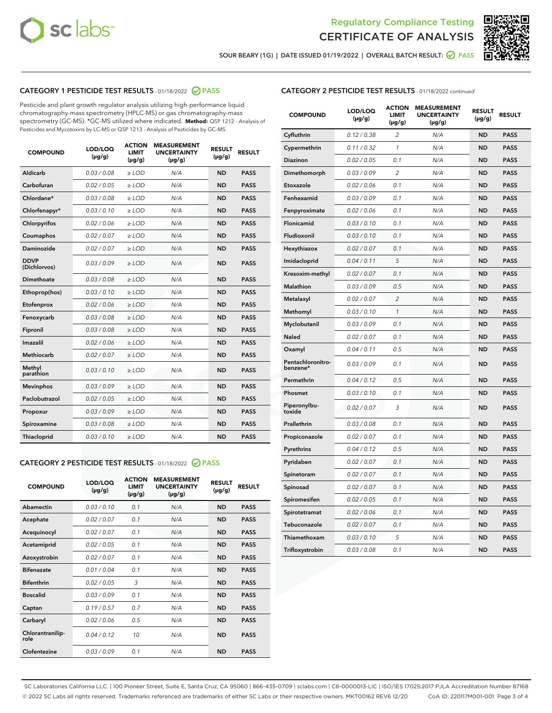



SOUR BEARY (1G) | DATE ISSUED 01/19/2022 | OVERALL BATCH RESULT:  $\bigcirc$  PASS

# CATEGORY 1 PESTICIDE TEST RESULTS - 01/18/2022 2 PASS

Pesticide and plant growth regulator analysis utilizing high-performance liquid chromatography-mass spectrometry (HPLC-MS) or gas chromatography-mass spectrometry (GC-MS). \*GC-MS utilized where indicated. **Method:** QSP 1212 - Analysis of Pesticides and Mycotoxins by LC-MS or QSP 1213 - Analysis of Pesticides by GC-MS

| <b>COMPOUND</b>             | LOD/LOQ<br>$(\mu g/g)$ | <b>ACTION</b><br><b>LIMIT</b><br>$(\mu q/q)$ | <b>MEASUREMENT</b><br><b>UNCERTAINTY</b><br>$(\mu g/g)$ | <b>RESULT</b><br>$(\mu g/g)$ | <b>RESULT</b> |
|-----------------------------|------------------------|----------------------------------------------|---------------------------------------------------------|------------------------------|---------------|
| Aldicarb                    | 0.03 / 0.08            | $\ge$ LOD                                    | N/A                                                     | <b>ND</b>                    | <b>PASS</b>   |
| Carbofuran                  | 0.02 / 0.05            | $\ge$ LOD                                    | N/A                                                     | <b>ND</b>                    | <b>PASS</b>   |
| Chlordane*                  | 0.03 / 0.08            | $\ge$ LOD                                    | N/A                                                     | <b>ND</b>                    | <b>PASS</b>   |
| Chlorfenapyr*               | 0.03/0.10              | $\ge$ LOD                                    | N/A                                                     | <b>ND</b>                    | <b>PASS</b>   |
| Chlorpyrifos                | 0.02 / 0.06            | $\ge$ LOD                                    | N/A                                                     | <b>ND</b>                    | <b>PASS</b>   |
| Coumaphos                   | 0.02 / 0.07            | $\ge$ LOD                                    | N/A                                                     | <b>ND</b>                    | <b>PASS</b>   |
| Daminozide                  | 0.02 / 0.07            | $\ge$ LOD                                    | N/A                                                     | <b>ND</b>                    | <b>PASS</b>   |
| <b>DDVP</b><br>(Dichlorvos) | 0.03/0.09              | $\ge$ LOD                                    | N/A                                                     | <b>ND</b>                    | <b>PASS</b>   |
| Dimethoate                  | 0.03 / 0.08            | $\ge$ LOD                                    | N/A                                                     | <b>ND</b>                    | <b>PASS</b>   |
| Ethoprop(hos)               | 0.03/0.10              | $\ge$ LOD                                    | N/A                                                     | <b>ND</b>                    | <b>PASS</b>   |
| Etofenprox                  | 0.02/0.06              | $>$ LOD                                      | N/A                                                     | <b>ND</b>                    | <b>PASS</b>   |
| Fenoxycarb                  | 0.03 / 0.08            | $\ge$ LOD                                    | N/A                                                     | <b>ND</b>                    | <b>PASS</b>   |
| Fipronil                    | 0.03/0.08              | $>$ LOD                                      | N/A                                                     | <b>ND</b>                    | <b>PASS</b>   |
| Imazalil                    | 0.02 / 0.06            | $\ge$ LOD                                    | N/A                                                     | <b>ND</b>                    | <b>PASS</b>   |
| Methiocarb                  | 0.02 / 0.07            | $\ge$ LOD                                    | N/A                                                     | <b>ND</b>                    | <b>PASS</b>   |
| Methyl<br>parathion         | 0.03/0.10              | $>$ LOD                                      | N/A                                                     | <b>ND</b>                    | <b>PASS</b>   |
| <b>Mevinphos</b>            | 0.03/0.09              | $>$ LOD                                      | N/A                                                     | <b>ND</b>                    | <b>PASS</b>   |
| Paclobutrazol               | 0.02 / 0.05            | $>$ LOD                                      | N/A                                                     | <b>ND</b>                    | <b>PASS</b>   |
| Propoxur                    | 0.03/0.09              | $\ge$ LOD                                    | N/A                                                     | <b>ND</b>                    | <b>PASS</b>   |
| Spiroxamine                 | 0.03 / 0.08            | $\ge$ LOD                                    | N/A                                                     | <b>ND</b>                    | <b>PASS</b>   |
| Thiacloprid                 | 0.03/0.10              | $\ge$ LOD                                    | N/A                                                     | <b>ND</b>                    | <b>PASS</b>   |

## CATEGORY 2 PESTICIDE TEST RESULTS - 01/18/2022 @ PASS

| <b>COMPOUND</b>          | LOD/LOQ<br>$(\mu g/g)$ | <b>ACTION</b><br><b>LIMIT</b><br>$(\mu g/g)$ | <b>MEASUREMENT</b><br><b>UNCERTAINTY</b><br>$(\mu g/g)$ | <b>RESULT</b><br>$(\mu g/g)$ | <b>RESULT</b> |
|--------------------------|------------------------|----------------------------------------------|---------------------------------------------------------|------------------------------|---------------|
| Abamectin                | 0.03/0.10              | 0.1                                          | N/A                                                     | <b>ND</b>                    | <b>PASS</b>   |
| Acephate                 | 0.02/0.07              | 0.1                                          | N/A                                                     | <b>ND</b>                    | <b>PASS</b>   |
| Acequinocyl              | 0.02/0.07              | 0.1                                          | N/A                                                     | <b>ND</b>                    | <b>PASS</b>   |
| Acetamiprid              | 0.02/0.05              | 0.1                                          | N/A                                                     | <b>ND</b>                    | <b>PASS</b>   |
| Azoxystrobin             | 0.02/0.07              | 0.1                                          | N/A                                                     | <b>ND</b>                    | <b>PASS</b>   |
| <b>Bifenazate</b>        | 0.01/0.04              | 0.1                                          | N/A                                                     | <b>ND</b>                    | <b>PASS</b>   |
| <b>Bifenthrin</b>        | 0.02 / 0.05            | 3                                            | N/A                                                     | <b>ND</b>                    | <b>PASS</b>   |
| <b>Boscalid</b>          | 0.03/0.09              | 0.1                                          | N/A                                                     | <b>ND</b>                    | <b>PASS</b>   |
| Captan                   | 0.19/0.57              | 0.7                                          | N/A                                                     | <b>ND</b>                    | <b>PASS</b>   |
| Carbaryl                 | 0.02/0.06              | 0.5                                          | N/A                                                     | <b>ND</b>                    | <b>PASS</b>   |
| Chlorantranilip-<br>role | 0.04/0.12              | 10                                           | N/A                                                     | <b>ND</b>                    | <b>PASS</b>   |
| Clofentezine             | 0.03/0.09              | 0.1                                          | N/A                                                     | <b>ND</b>                    | <b>PASS</b>   |

# CATEGORY 2 PESTICIDE TEST RESULTS - 01/18/2022 continued

| <b>COMPOUND</b>               | LOD/LOQ<br>(µg/g) | <b>ACTION</b><br><b>LIMIT</b><br>$(\mu g/g)$ | <b>MEASUREMENT</b><br><b>UNCERTAINTY</b><br>$(\mu g/g)$ | <b>RESULT</b><br>(µg/g) | <b>RESULT</b> |
|-------------------------------|-------------------|----------------------------------------------|---------------------------------------------------------|-------------------------|---------------|
| Cyfluthrin                    | 0.12 / 0.38       | $\overline{c}$                               | N/A                                                     | ND                      | <b>PASS</b>   |
| Cypermethrin                  | 0.11 / 0.32       | $\mathcal{I}$                                | N/A                                                     | ND                      | <b>PASS</b>   |
| <b>Diazinon</b>               | 0.02 / 0.05       | 0.1                                          | N/A                                                     | <b>ND</b>               | <b>PASS</b>   |
| Dimethomorph                  | 0.03 / 0.09       | 2                                            | N/A                                                     | ND                      | <b>PASS</b>   |
| Etoxazole                     | 0.02 / 0.06       | 0.1                                          | N/A                                                     | ND                      | <b>PASS</b>   |
| Fenhexamid                    | 0.03 / 0.09       | 0.1                                          | N/A                                                     | ND                      | <b>PASS</b>   |
| Fenpyroximate                 | 0.02 / 0.06       | 0.1                                          | N/A                                                     | <b>ND</b>               | <b>PASS</b>   |
| Flonicamid                    | 0.03 / 0.10       | 0.1                                          | N/A                                                     | ND                      | <b>PASS</b>   |
| Fludioxonil                   | 0.03 / 0.10       | 0.1                                          | N/A                                                     | ND                      | <b>PASS</b>   |
| Hexythiazox                   | 0.02 / 0.07       | 0.1                                          | N/A                                                     | ND                      | <b>PASS</b>   |
| Imidacloprid                  | 0.04 / 0.11       | 5                                            | N/A                                                     | ND                      | <b>PASS</b>   |
| Kresoxim-methyl               | 0.02 / 0.07       | 0.1                                          | N/A                                                     | ND                      | <b>PASS</b>   |
| Malathion                     | 0.03 / 0.09       | 0.5                                          | N/A                                                     | ND                      | <b>PASS</b>   |
| Metalaxyl                     | 0.02 / 0.07       | $\overline{c}$                               | N/A                                                     | ND                      | <b>PASS</b>   |
| Methomyl                      | 0.03 / 0.10       | $\mathbf{1}$                                 | N/A                                                     | ND                      | <b>PASS</b>   |
| Myclobutanil                  | 0.03 / 0.09       | 0.1                                          | N/A                                                     | <b>ND</b>               | <b>PASS</b>   |
| Naled                         | 0.02 / 0.07       | 0.1                                          | N/A                                                     | ND                      | <b>PASS</b>   |
| Oxamyl                        | 0.04 / 0.11       | 0.5                                          | N/A                                                     | ND                      | PASS          |
| Pentachloronitro-<br>benzene* | 0.03 / 0.09       | 0.1                                          | N/A                                                     | ND                      | <b>PASS</b>   |
| Permethrin                    | 0.04 / 0.12       | 0.5                                          | N/A                                                     | ND                      | <b>PASS</b>   |
| Phosmet                       | 0.03 / 0.10       | 0.1                                          | N/A                                                     | ND                      | <b>PASS</b>   |
| Piperonylbu-<br>toxide        | 0.02 / 0.07       | 3                                            | N/A                                                     | <b>ND</b>               | <b>PASS</b>   |
| Prallethrin                   | 0.03 / 0.08       | 0.1                                          | N/A                                                     | ND                      | <b>PASS</b>   |
| Propiconazole                 | 0.02 / 0.07       | 0.1                                          | N/A                                                     | <b>ND</b>               | <b>PASS</b>   |
| Pyrethrins                    | 0.04 / 0.12       | 0.5                                          | N/A                                                     | ND                      | <b>PASS</b>   |
| Pyridaben                     | 0.02 / 0.07       | 0.1                                          | N/A                                                     | <b>ND</b>               | <b>PASS</b>   |
| Spinetoram                    | 0.02 / 0.07       | 0.1                                          | N/A                                                     | ND                      | <b>PASS</b>   |
| Spinosad                      | 0.02 / 0.07       | 0.1                                          | N/A                                                     | ND                      | <b>PASS</b>   |
| Spiromesifen                  | 0.02 / 0.05       | 0.1                                          | N/A                                                     | <b>ND</b>               | <b>PASS</b>   |
| Spirotetramat                 | 0.02 / 0.06       | 0.1                                          | N/A                                                     | ND                      | <b>PASS</b>   |
| Tebuconazole                  | 0.02 / 0.07       | 0.1                                          | N/A                                                     | ND                      | <b>PASS</b>   |
| Thiamethoxam                  | 0.03 / 0.10       | 5                                            | N/A                                                     | <b>ND</b>               | <b>PASS</b>   |
| Trifloxystrobin               | 0.03 / 0.08       | 0.1                                          | N/A                                                     | <b>ND</b>               | <b>PASS</b>   |

SC Laboratories California LLC. | 100 Pioneer Street, Suite E, Santa Cruz, CA 95060 | 866-435-0709 | sclabs.com | C8-0000013-LIC | ISO/IES 17025:2017 PJLA Accreditation Number 87168 © 2022 SC Labs all rights reserved. Trademarks referenced are trademarks of either SC Labs or their respective owners. MKT00162 REV6 12/20 CoA ID: 220117M001-001 Page 3 of 4